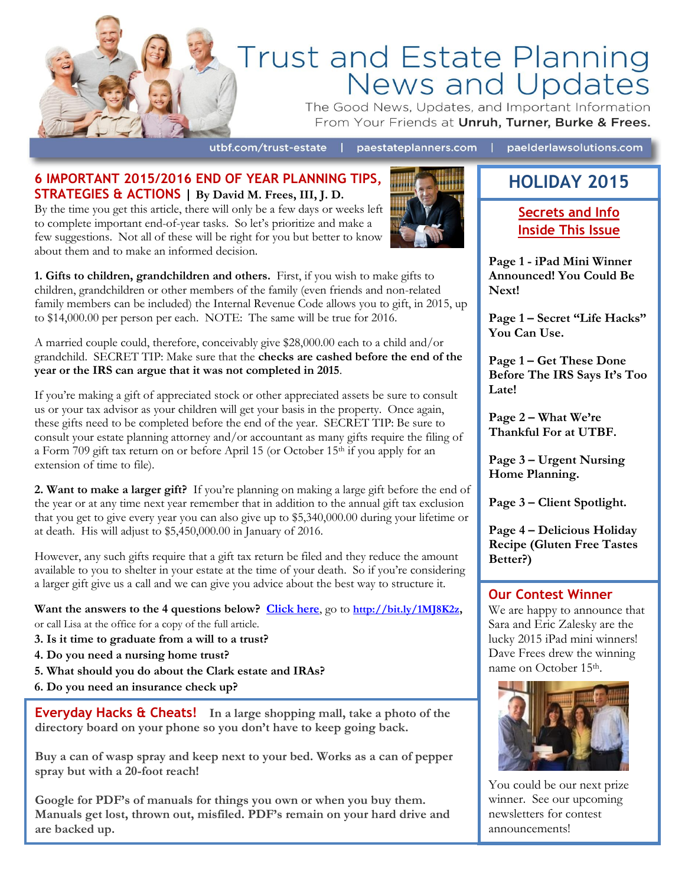

# Trust and Estate Planning<br>News and Updates

The Good News, Updates, and Important Information From Your Friends at Unruh, Turner, Burke & Frees.

utbf.com/trust-estate | paestateplanners.com | paelderlawsolutions.com

#### **6 IMPORTANT 2015/2016 END OF YEAR PLANNING TIPS, STRATEGIES & ACTIONS | By David M. Frees, III, J. D.**

By the time you get this article, there will only be a few days or weeks left to complete important end-of-year tasks. So let's prioritize and make a few suggestions. Not all of these will be right for you but better to know about them and to make an informed decision.



**1. Gifts to children, grandchildren and others.** First, if you wish to make gifts to children, grandchildren or other members of the family (even friends and non-related family members can be included) the Internal Revenue Code allows you to gift, in 2015, up to \$14,000.00 per person per each. NOTE: The same will be true for 2016.

A married couple could, therefore, conceivably give \$28,000.00 each to a child and/or grandchild. SECRET TIP: Make sure that the **checks are cashed before the end of the year or the IRS can argue that it was not completed in 2015**.

If you're making a gift of appreciated stock or other appreciated assets be sure to consult us or your tax advisor as your children will get your basis in the property. Once again, these gifts need to be completed before the end of the year. SECRET TIP: Be sure to consult your estate planning attorney and/or accountant as many gifts require the filing of a Form 709 gift tax return on or before April 15 (or October 15th if you apply for an extension of time to file).

**2. Want to make a larger gift?** If you're planning on making a large gift before the end of the year or at any time next year remember that in addition to the annual gift tax exclusion that you get to give every year you can also give up to \$5,340,000.00 during your lifetime or at death. His will adjust to \$5,450,000.00 in January of 2016.

However, any such gifts require that a gift tax return be filed and they reduce the amount available to you to shelter in your estate at the time of your death. So if you're considering a larger gift give us a call and we can give you advice about the best way to structure it.

**Want the answers to the 4 questions below? [Click here](http://bit.ly/1MJ8K2z)**, go to **[http://bit.ly/1MJ8K2z,](http://bit.ly/1MJ8K2z)**  or call Lisa at the office for a copy of the full article.

- **3. Is it time to graduate from a will to a trust?**
- **4. Do you need a nursing home trust?**
- **5. What should you do about the Clark estate and IRAs?**
- **6. Do you need an insurance check up?**

**Everyday Hacks & Cheats! In a large shopping mall, take a photo of the directory board on your phone so you don't have to keep going back.**

**Buy a can of wasp spray and keep next to your bed. Works as a can of pepper spray but with a 20-foot reach!**

**Google for PDF's of manuals for things you own or when you buy them. Manuals get lost, thrown out, misfiled. PDF's remain on your hard drive and are backed up.**

## **HOLIDAY 2015**

**Secrets and Info Inside This Issue**

**Page 1 - iPad Mini Winner Announced! You Could Be Next!**

**Page 1 – Secret "Life Hacks" You Can Use.**

**Page 1 – Get These Done Before The IRS Says It's Too Late!** 

**Page 2 – What We're Thankful For at UTBF.**

**Page 3 – Urgent Nursing Home Planning.**

**Page 3 – Client Spotlight.**

**Page 4 – Delicious Holiday Recipe (Gluten Free Tastes Better?)** 

#### **Our Contest Winner**

We are happy to announce that Sara and Eric Zalesky are the lucky 2015 iPad mini winners! Dave Frees drew the winning name on October 15<sup>th</sup>.



You could be our next prize winner. See our upcoming newsletters for contest announcements!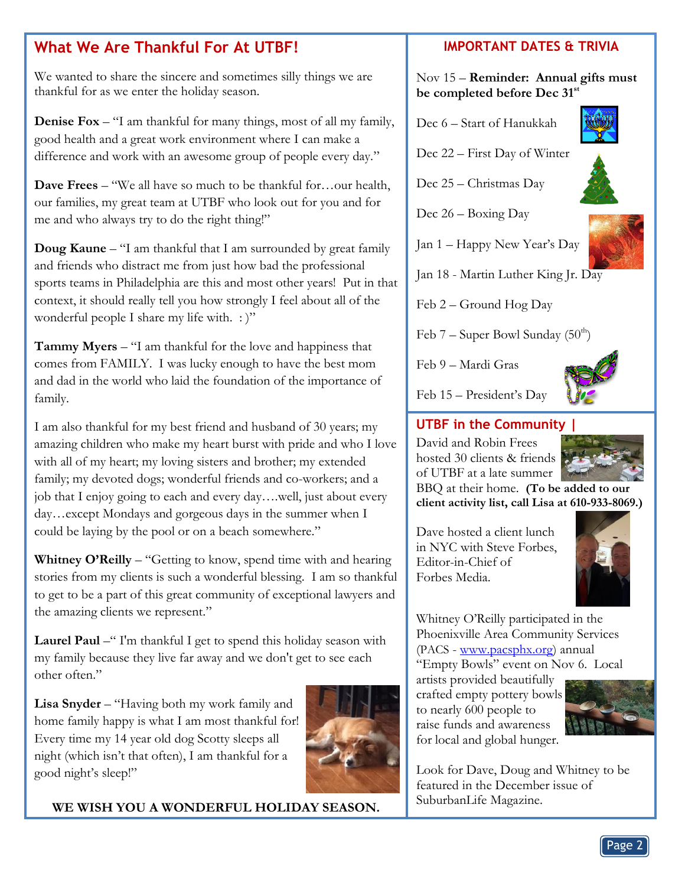## **What We Are Thankful For At UTBF!**

We wanted to share the sincere and sometimes silly things we are thankful for as we enter the holiday season.

**Denise Fox** – "I am thankful for many things, most of all my family, good health and a great work environment where I can make a difference and work with an awesome group of people every day."

**Dave Frees** – "We all have so much to be thankful for…our health, our families, my great team at UTBF who look out for you and for me and who always try to do the right thing!"

**Doug Kaune** – "I am thankful that I am surrounded by great family and friends who distract me from just how bad the professional sports teams in Philadelphia are this and most other years! Put in that context, it should really tell you how strongly I feel about all of the wonderful people I share my life with.  $:$ "

**Tammy Myers** – "I am thankful for the love and happiness that comes from FAMILY. I was lucky enough to have the best mom and dad in the world who laid the foundation of the importance of family.

I am also thankful for my best friend and husband of 30 years; my amazing children who make my heart burst with pride and who I love with all of my heart; my loving sisters and brother; my extended family; my devoted dogs; wonderful friends and co-workers; and a job that I enjoy going to each and every day….well, just about every day…except Mondays and gorgeous days in the summer when I could be laying by the pool or on a beach somewhere."

**Whitney O'Reilly** – "Getting to know, spend time with and hearing stories from my clients is such a wonderful blessing. I am so thankful to get to be a part of this great community of exceptional lawyers and the amazing clients we represent."

Laurel Paul –" I'm thankful I get to spend this holiday season with my family because they live far away and we don't get to see each other often."

**Lisa Snyder** – "Having both my work family and home family happy is what I am most thankful for! Every time my 14 year old dog Scotty sleeps all night (which isn't that often), I am thankful for a good night's sleep!"



**WE WISH YOU A WONDERFUL HOLIDAY SEASON.**

#### **IMPORTANT DATES & TRIVIA**

#### Nov 15 – **Reminder: Annual gifts must be completed before Dec 31st**

Dec 6 – Start of Hanukkah



Dec 22 – First Day of Winter



Dec 26 – Boxing Day



Jan 1 – Happy New Year's Day

Jan 18 - Martin Luther King Jr. Day

Feb 2 – Ground Hog Day

Feb  $7$  – Super Bowl Sunday (50<sup>th</sup>)

Feb 9 – Mardi Gras



Feb 15 – President's Day

### **UTBF in the Community |**

David and Robin Frees hosted 30 clients & friends of UTBF at a late summer



BBQ at their home. **(To be added to our client activity list, call Lisa at 610-933-8069.)**

Dave hosted a client lunch in NYC with Steve Forbes, Editor-in-Chief of Forbes Media.



Whitney O'Reilly participated in the Phoenixville Area Community Services (PACS - [www.pacsphx.org\)](http://www.pacsphx.org/) annual "Empty Bowls" event on Nov 6. Local

artists provided beautifully crafted empty pottery bowls to nearly 600 people to raise funds and awareness for local and global hunger.



Look for Dave, Doug and Whitney to be featured in the December issue of SuburbanLife Magazine.

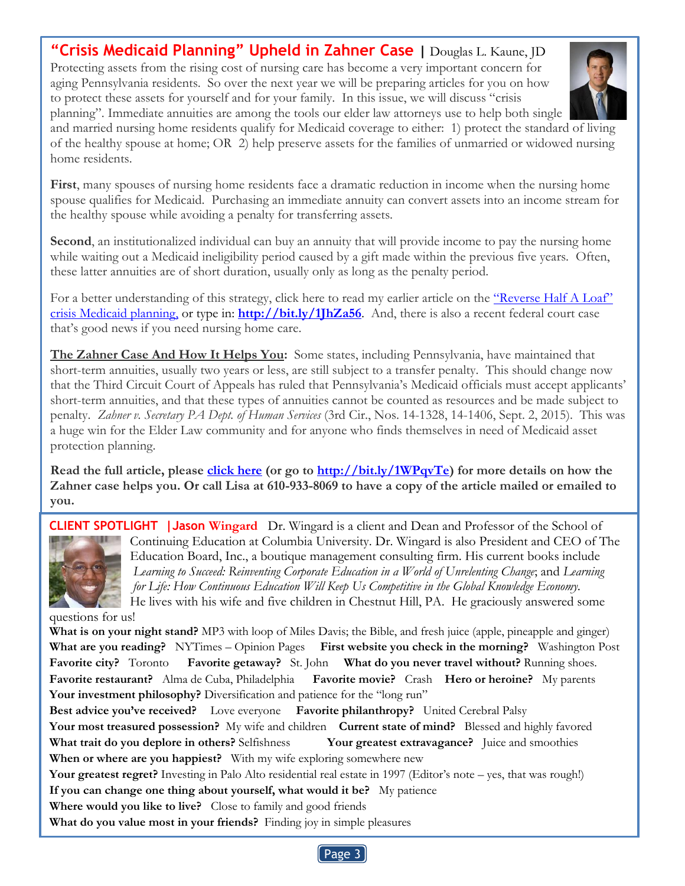**"[Crisis Medicaid Planning](http://www.paelderlawsolutions.com/2015/10/crisis-medicaid-planning-upheld-in-zahner-case/)" Upheld in Zahner Case |** Douglas L. Kaune, JD Protecting assets from the rising cost of nursing care has become a very important concern for

aging Pennsylvania residents. So over the next year we will be preparing articles for you on how to protect these assets for yourself and for your family. In this issue, we will discuss "crisis planning". Immediate annuities are among the tools our elder law attorneys use to help both single



**First**, many spouses of nursing home residents face a dramatic reduction in income when the nursing home spouse qualifies for Medicaid. Purchasing an immediate annuity can convert assets into an income stream for the healthy spouse while avoiding a penalty for transferring assets.

**Second**, an institutionalized individual can buy an annuity that will provide income to pay the nursing home while waiting out a Medicaid ineligibility period caused by a gift made within the previous five years. Often, these latter annuities are of short duration, usually only as long as the penalty period.

For a better understanding of this strategy, click here to read my earlier article on the "Reverse Half A Loaf" [crisis Medicaid planning,](http://www.paelderlawsolutions.com/2015/05/crisis-medicaid-planning-reverse-half-a-loaf/) or type in: **<http://bit.ly/1JhZa56>**. And, there is also a recent federal court case that's good news if you need nursing home care.

**The Zahner Case And How It Helps You:** Some states, including Pennsylvania, have maintained that short-term annuities, usually two years or less, are still subject to a transfer penalty. This should change now that the Third Circuit Court of Appeals has ruled that Pennsylvania's Medicaid officials must accept applicants' short-term annuities, and that these types of annuities cannot be counted as resources and be made subject to penalty. *Zahner v. Secretary PA Dept. of Human Services* (3rd Cir., Nos. 14-1328, 14-1406, Sept. 2, 2015). This was a huge win for the Elder Law community and for anyone who finds themselves in need of Medicaid asset protection planning.

**Read the full article, please [click here](http://bit.ly/1WPqvTe) (or go to [http://bit.ly/1WPqvTe\)](http://bit.ly/1WPqvTe) for more details on how the Zahner case helps you. Or call Lisa at 610-933-8069 to have a copy of the article mailed or emailed to you.**

**CLIENT SPOTLIGHT |Jason Wingard** Dr. Wingard is a client and Dean and Professor of the School of Continuing Education at Columbia University. Dr. Wingard is also President and CEO of The Education Board, Inc., a boutique management consulting firm. His current books include *Learning to Succeed: Reinventing Corporate Education in a World of Unrelenting Change*; and *Learning for Life: How Continuous Education Will Keep Us Competitive in the Global Knowledge Economy.* He lives with his wife and five children in Chestnut Hill, PA. He graciously answered some

questions for us!

**What is on your night stand?** MP3 with loop of Miles Davis; the Bible, and fresh juice (apple, pineapple and ginger) **What are you reading?** NYTimes – Opinion Pages **First website you check in the morning?** Washington Post **Favorite city?** Toronto **Favorite getaway?** St. John **What do you never travel without?** Running shoes. **Favorite restaurant?** Alma de Cuba, Philadelphia **Favorite movie?** Crash **Hero or heroine?** My parents Your investment philosophy? Diversification and patience for the "long run"

 **Your greatest regret?** Investing in Palo Alto residential real estate in 1997 (Editor's note – yes, that was rough!) **Best advice you've received?** Love everyone **Favorite philanthropy?** United Cerebral Palsy **Your most treasured possession?** My wife and children **Current state of mind?** Blessed and highly favored **What trait do you deplore in others?** Selfishness **Your greatest extravagance?** Juice and smoothies **When or where are you happiest?** With my wife exploring somewhere new **If you can change one thing about yourself, what would it be?** My patience **Where would you like to live?** Close to family and good friends

**What do you value most in your friends?** Finding joy in simple pleasures

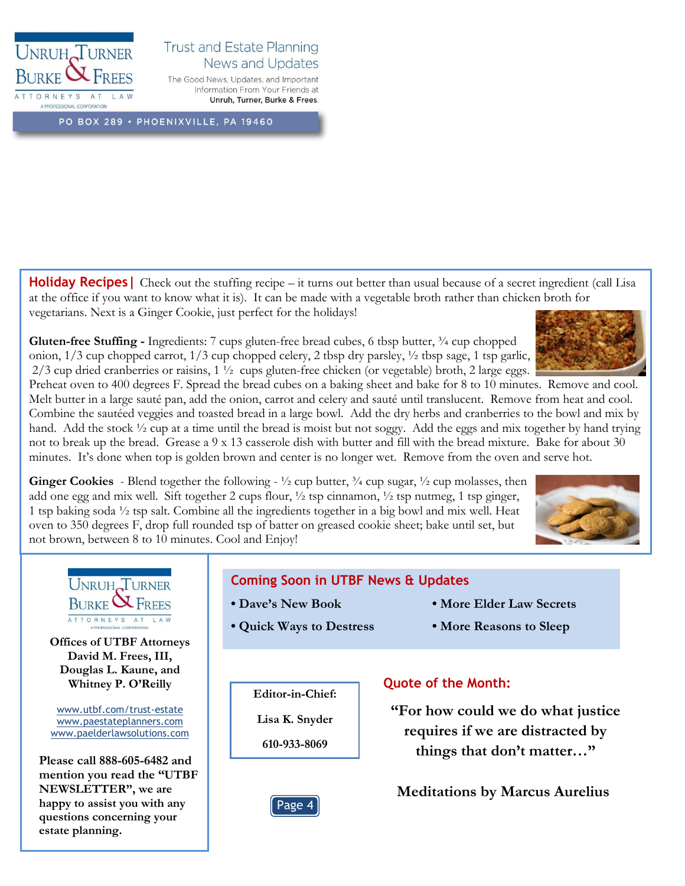

#### **Trust and Estate Planning** News and Updates

The Good News, Updates, and Important Information From Your Friends at Unruh, Turner, Burke & Frees.

PO BOX 289 · PHOENIXVILLE, PA 19460

**Holiday Recipes** | Check out the stuffing recipe – it turns out better than usual because of a secret ingredient (call Lisa at the office if you want to know what it is). It can be made with a vegetable broth rather than chicken broth for vegetarians. Next is a Ginger Cookie, just perfect for the holidays!

**Gluten-free Stuffing -** Ingredients: 7 cups gluten-free bread cubes, 6 tbsp butter, ¾ cup chopped onion,  $1/3$  cup chopped carrot,  $1/3$  cup chopped celery, 2 tbsp dry parsley,  $\frac{1}{2}$  tbsp sage, 1 tsp garlic, 2/3 cup dried cranberries or raisins, 1 ½ cups gluten-free chicken (or vegetable) broth, 2 large eggs.



Preheat oven to 400 degrees F. Spread the bread cubes on a baking sheet and bake for 8 to 10 minutes. Remove and cool. Melt butter in a large sauté pan, add the onion, carrot and celery and sauté until translucent. Remove from heat and cool. Combine the sautéed veggies and toasted bread in a large bowl. Add the dry herbs and cranberries to the bowl and mix by hand. Add the stock  $\frac{1}{2}$  cup at a time until the bread is moist but not soggy. Add the eggs and mix together by hand trying not to break up the bread. Grease a 9 x 13 casserole dish with butter and fill with the bread mixture. Bake for about 30 minutes. It's done when top is golden brown and center is no longer wet. Remove from the oven and serve hot.

**Ginger Cookies** - Blend together the following -  $\frac{1}{2}$  cup butter,  $\frac{3}{4}$  cup sugar,  $\frac{1}{2}$  cup molasses, then add one egg and mix well. Sift together 2 cups flour,  $\frac{1}{2}$  tsp cinnamon,  $\frac{1}{2}$  tsp nutmeg, 1 tsp ginger, 1 tsp baking soda ½ tsp salt. Combine all the ingredients together in a big bowl and mix well. Heat oven to 350 degrees F, drop full rounded tsp of batter on greased cookie sheet; bake until set, but not brown, between 8 to 10 minutes. Cool and Enjoy!





#### **Coming Soon in UTBF News & Updates**

- -
- **Dave's New Book More Elder Law Secrets**
- **Quick Ways to Destress More Reasons to Sleep**

#### **Editor-in-Chief:**

**Lisa K. Snyder**

**610-933-8069**

#### **Quote of the Month:**

**"For how could we do what justice requires if we are distracted by things that don't matter…"**

**Meditations by Marcus Aurelius**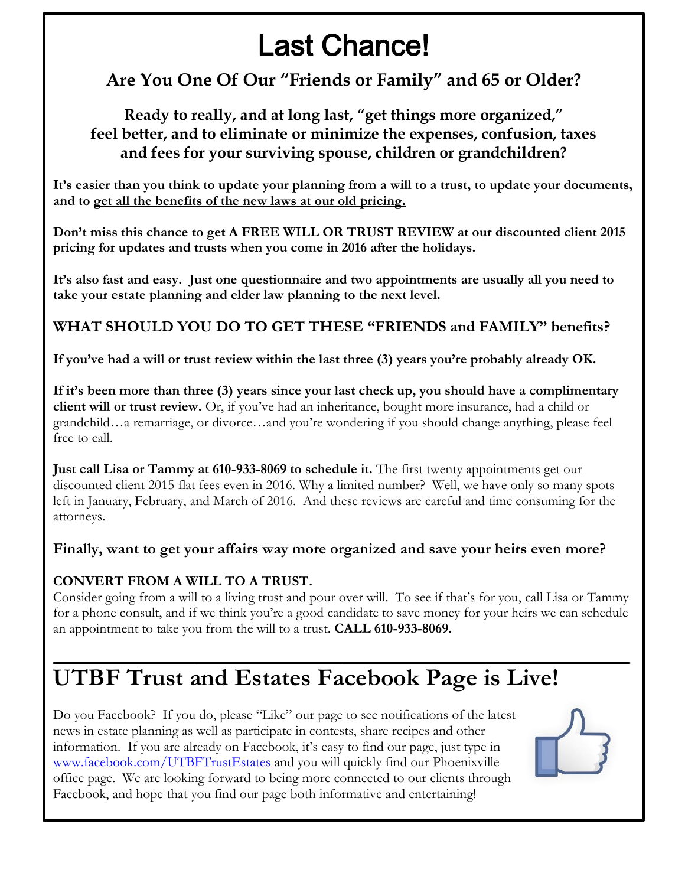# Last Chance!

## **Are You One Of Our "Friends or Family" and 65 or Older?**

## **Ready to really, and at long last, "get things more organized," feel better, and to eliminate or minimize the expenses, confusion, taxes and fees for your surviving spouse, children or grandchildren?**

**It's easier than you think to update your planning from a will to a trust, to update your documents, and to get all the benefits of the new laws at our old pricing.**

**Don't miss this chance to get A FREE WILL OR TRUST REVIEW at our discounted client 2015 pricing for updates and trusts when you come in 2016 after the holidays.** 

**It's also fast and easy. Just one questionnaire and two appointments are usually all you need to take your estate planning and elder law planning to the next level.**

## **WHAT SHOULD YOU DO TO GET THESE "FRIENDS and FAMILY" benefits?**

**If you've had a will or trust review within the last three (3) years you're probably already OK.** 

**If it's been more than three (3) years since your last check up, you should have a complimentary client will or trust review.** Or, if you've had an inheritance, bought more insurance, had a child or grandchild…a remarriage, or divorce…and you're wondering if you should change anything, please feel free to call.

**Just call Lisa or Tammy at 610-933-8069 to schedule it.** The first twenty appointments get our discounted client 2015 flat fees even in 2016. Why a limited number? Well, we have only so many spots left in January, February, and March of 2016. And these reviews are careful and time consuming for the attorneys.

**Finally, want to get your affairs way more organized and save your heirs even more?**

#### **CONVERT FROM A WILL TO A TRUST.**

Consider going from a will to a living trust and pour over will. To see if that's for you, call Lisa or Tammy for a phone consult, and if we think you're a good candidate to save money for your heirs we can schedule an appointment to take you from the will to a trust. **CALL 610-933-8069.**

# **UTBF Trust and Estates Facebook Page is Live!**

Do you Facebook? If you do, please "Like" our page to see notifications of the latest news in estate planning as well as participate in contests, share recipes and other information. If you are already on Facebook, it's easy to find our page, just type in [www.facebook.com/UTBFTrustEstates](http://www.facebook.com/UTBFTrustEstates) and you will quickly find our Phoenixville office page. We are looking forward to being more connected to our clients through Facebook, and hope that you find our page both informative and entertaining!